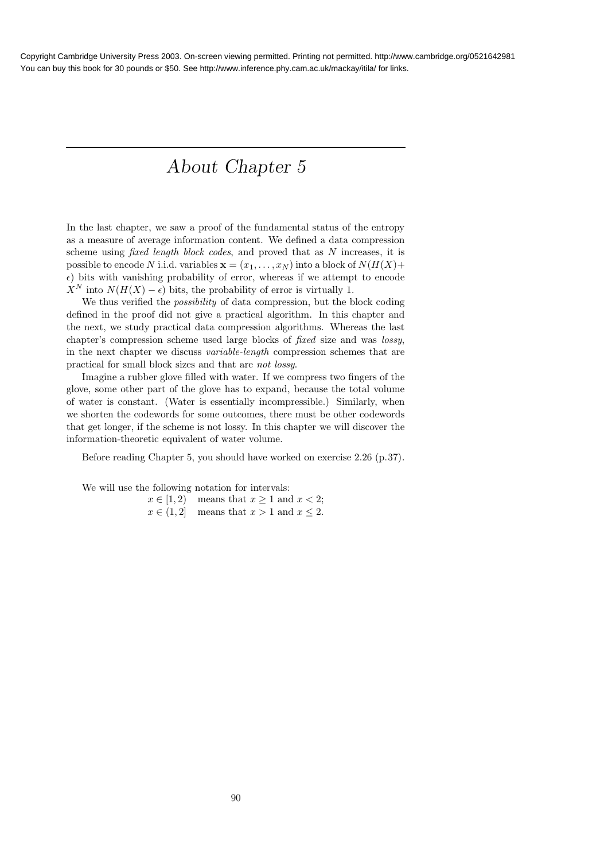# About Chapter 5

In the last chapter, we saw a proof of the fundamental status of the entropy as a measure of average information content. We defined a data compression scheme using *fixed length block codes*, and proved that as N increases, it is possible to encode N i.i.d. variables  $\mathbf{x} = (x_1, \dots, x_N)$  into a block of  $N(H(X))$ +  $\epsilon$ ) bits with vanishing probability of error, whereas if we attempt to encode  $X^N$  into  $N(H(X) - \epsilon)$  bits, the probability of error is virtually 1.

We thus verified the *possibility* of data compression, but the block coding defined in the proof did not give a practical algorithm. In this chapter and the next, we study practical data compression algorithms. Whereas the last chapter's compression scheme used large blocks of fixed size and was lossy, in the next chapter we discuss variable-length compression schemes that are practical for small block sizes and that are not lossy.

Imagine a rubber glove filled with water. If we compress two fingers of the glove, some other part of the glove has to expand, because the total volume of water is constant. (Water is essentially incompressible.) Similarly, when we shorten the codewords for some outcomes, there must be other codewords that get longer, if the scheme is not lossy. In this chapter we will discover the information-theoretic equivalent of water volume.

Before reading Chapter 5, you should have worked on exercise 2.26 (p.37).

We will use the following notation for intervals:

 $x \in [1, 2)$  means that  $x \ge 1$  and  $x < 2$ ;  $x \in (1, 2]$  means that  $x > 1$  and  $x \le 2$ .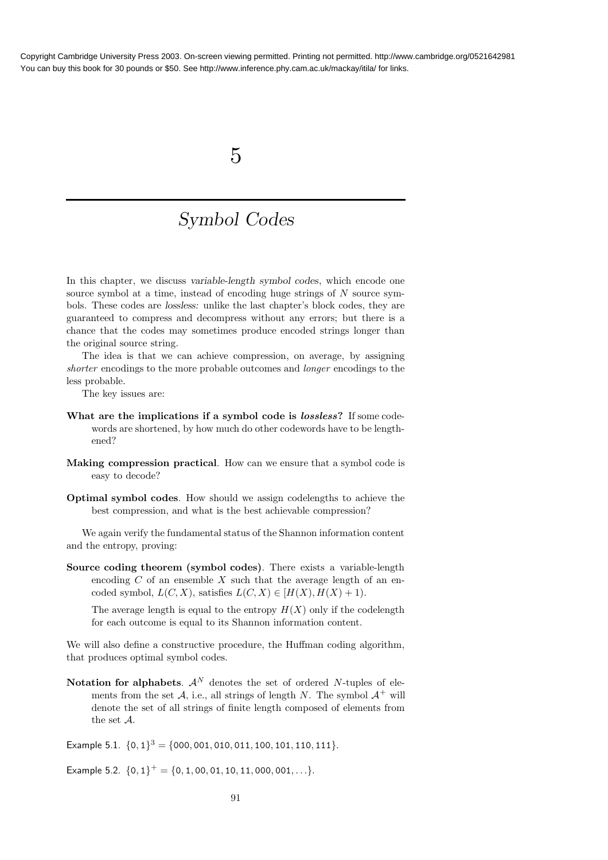## 5

## Symbol Codes

In this chapter, we discuss variable-length symbol codes, which encode one source symbol at a time, instead of encoding huge strings of  $N$  source symbols. These codes are lossless: unlike the last chapter's block codes, they are guaranteed to compress and decompress without any errors; but there is a chance that the codes may sometimes produce encoded strings longer than the original source string.

The idea is that we can achieve compression, on average, by assigning shorter encodings to the more probable outcomes and *longer* encodings to the less probable.

The key issues are:

- What are the implications if a symbol code is lossless? If some codewords are shortened, by how much do other codewords have to be lengthened?
- Making compression practical. How can we ensure that a symbol code is easy to decode?
- Optimal symbol codes. How should we assign codelengths to achieve the best compression, and what is the best achievable compression?

We again verify the fundamental status of the Shannon information content and the entropy, proving:

Source coding theorem (symbol codes). There exists a variable-length encoding  $C$  of an ensemble  $X$  such that the average length of an encoded symbol,  $L(C, X)$ , satisfies  $L(C, X) \in [H(X), H(X) + 1)$ .

The average length is equal to the entropy  $H(X)$  only if the codelength for each outcome is equal to its Shannon information content.

We will also define a constructive procedure, the Huffman coding algorithm, that produces optimal symbol codes.

Notation for alphabets.  $A^N$  denotes the set of ordered N-tuples of elements from the set A, i.e., all strings of length N. The symbol  $A^+$  will denote the set of all strings of finite length composed of elements from the set A.

Example 5.1.  $\{0,1\}^3 = \{000, 001, 010, 011, 100, 101, 110, 111\}.$ 

Example 5.2.  $\{0,1\}^+ = \{0,1,00,01,10,11,000,001,\ldots\}.$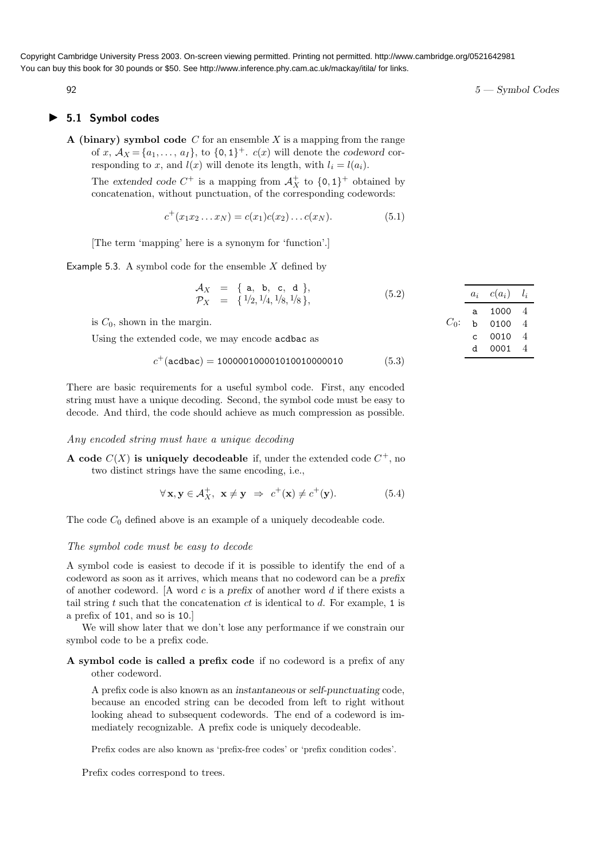## ▶ 5.1 Symbol codes

A (binary) symbol code  $C$  for an ensemble  $X$  is a mapping from the range of x,  $A_X = \{a_1, \ldots, a_I\}$ , to  $\{0, 1\}^+$ .  $c(x)$  will denote the codeword corresponding to x, and  $l(x)$  will denote its length, with  $l_i = l(a_i)$ .

The extended code  $C^+$  is a mapping from  $\mathcal{A}_X^+$  to  $\{0,1\}^+$  obtained by concatenation, without punctuation, of the corresponding codewords:

$$
c^{+}(x_{1}x_{2}...x_{N}) = c(x_{1})c(x_{2})...c(x_{N}).
$$
\n(5.1)

[The term 'mapping' here is a synonym for 'function'.]

Example 5.3. A symbol code for the ensemble  $X$  defined by

$$
\begin{array}{rcl}\n\mathcal{A}_X & = & \{ \text{ a, b, c, d} \}, \\
\mathcal{P}_X & = & \{ \frac{1}{2}, \frac{1}{4}, \frac{1}{8}, \frac{1}{8} \},\n\end{array} \tag{5.2}
$$

is  $C_0$ , shown in the margin.

Using the extended code, we may encode acdbac as

$$
c^{+}(\texttt{acdbac}) = 100000100001010010000010\tag{5.3}
$$

There are basic requirements for a useful symbol code. First, any encoded string must have a unique decoding. Second, the symbol code must be easy to decode. And third, the code should achieve as much compression as possible.

#### Any encoded string must have a unique decoding

**A** code  $C(X)$  is uniquely decodeable if, under the extended code  $C^+$ , no two distinct strings have the same encoding, i.e.,

$$
\forall \mathbf{x}, \mathbf{y} \in \mathcal{A}^+_X, \ \mathbf{x} \neq \mathbf{y} \ \Rightarrow \ c^+(\mathbf{x}) \neq c^+(\mathbf{y}). \tag{5.4}
$$

The code  $C_0$  defined above is an example of a uniquely decodeable code.

#### The symbol code must be easy to decode

A symbol code is easiest to decode if it is possible to identify the end of a codeword as soon as it arrives, which means that no codeword can be a prefix of another codeword. [A word  $c$  is a prefix of another word  $d$  if there exists a tail string t such that the concatenation  $ct$  is identical to  $d$ . For example, 1 is a prefix of 101, and so is 10.]

We will show later that we don't lose any performance if we constrain our symbol code to be a prefix code.

## A symbol code is called a prefix code if no codeword is a prefix of any other codeword.

A prefix code is also known as an instantaneous or self-punctuating code, because an encoded string can be decoded from left to right without looking ahead to subsequent codewords. The end of a codeword is immediately recognizable. A prefix code is uniquely decodeable.

Prefix codes are also known as 'prefix-free codes' or 'prefix condition codes'.

Prefix codes correspond to trees.

|         | $a_i$ | $c(a_i)$ | $l_{i}$ |
|---------|-------|----------|---------|
|         | a     | 1000     | 4       |
| $C_0$ : | b     | 0100     | 4       |
|         | C.    | 0010     | 4       |
|         | d     | 0001     |         |

 $5 - \text{Symbol Codes}$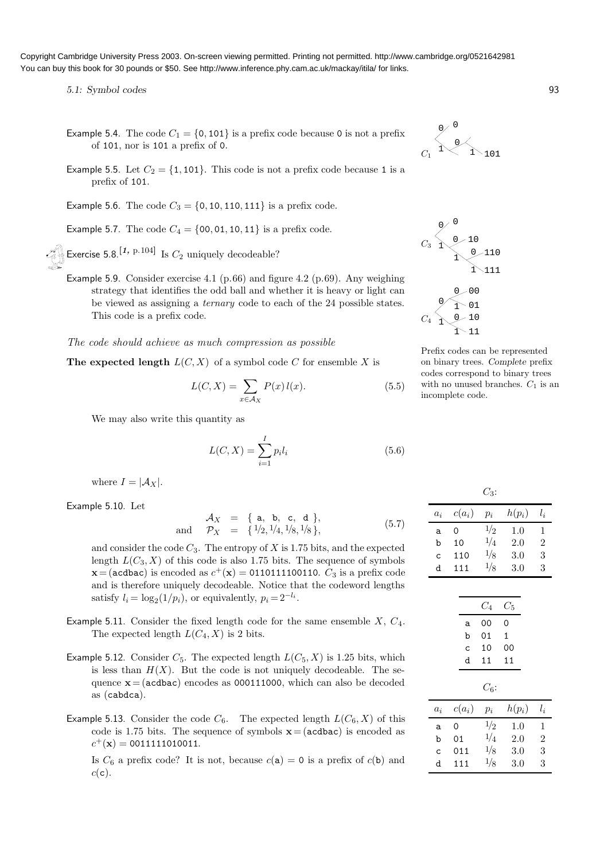5.1: Symbol codes 93

- Example 5.4. The code  $C_1 = \{0, 101\}$  is a prefix code because 0 is not a prefix of 101, nor is 101 a prefix of 0.
- Example 5.5. Let  $C_2 = \{1, 101\}$ . This code is not a prefix code because 1 is a prefix of 101.

Example 5.6. The code  $C_3 = \{0, 10, 110, 111\}$  is a prefix code.

Example 5.7. The code  $C_4 = \{00, 01, 10, 11\}$  is a prefix code.

Exercise 5.8.<sup>[1, p.104]</sup> Is  $C_2$  uniquely decodeable?

Example 5.9. Consider exercise 4.1 (p.66) and figure 4.2 (p.69). Any weighing strategy that identifies the odd ball and whether it is heavy or light can be viewed as assigning a ternary code to each of the 24 possible states. This code is a prefix code.

The code should achieve as much compression as possible

The expected length  $L(C, X)$  of a symbol code C for ensemble X is

$$
L(C, X) = \sum_{x \in \mathcal{A}_X} P(x) l(x).
$$
 (5.5)

We may also write this quantity as

$$
L(C, X) = \sum_{i=1}^{I} p_i l_i
$$
\n(5.6)

where  $I = |\mathcal{A}_X|$ .

Example 5.10. Let

$$
\mathcal{A}_X = \{ \text{ a, b, c, d} \},
$$
  
and  $\mathcal{P}_X = \{ 1/2, 1/4, 1/8, 1/8 \},$  (5.7)

and consider the code  $C_3$ . The entropy of X is 1.75 bits, and the expected length  $L(C_3, X)$  of this code is also 1.75 bits. The sequence of symbols  $\mathbf{x} = (\texttt{acdbac})$  is encoded as  $c^+(\mathbf{x}) = \texttt{0110111100110}.$   $C_3$  is a prefix code and is therefore uniquely decodeable. Notice that the codeword lengths satisfy  $l_i = \log_2(1/p_i)$ , or equivalently,  $p_i = 2^{-l_i}$ .

- Example 5.11. Consider the fixed length code for the same ensemble  $X$ ,  $C_4$ . The expected length  $L(C_4, X)$  is 2 bits.
- Example 5.12. Consider  $C_5$ . The expected length  $L(C_5, X)$  is 1.25 bits, which is less than  $H(X)$ . But the code is not uniquely decodeable. The sequence  $x=(acdbac)$  encodes as 000111000, which can also be decoded as (cabdca).
- Example 5.13. Consider the code  $C_6$ . The expected length  $L(C_6, X)$  of this code is 1.75 bits. The sequence of symbols  $x=(\text{acdbac})$  is encoded as  $c^{+}(\mathbf{x}) = 0011111010011.$

Is  $C_6$  a prefix code? It is not, because  $c(\mathbf{a}) = 0$  is a prefix of  $c(\mathbf{b})$  and  $c(c)$ .







Prefix codes can be represented on binary trees. Complete prefix codes correspond to binary trees with no unused branches.  $C_1$  is an incomplete code.

|              |          | $C_3$ : |          |                |
|--------------|----------|---------|----------|----------------|
| $a_i$        | $c(a_i)$ | $p_i$   | $h(p_i)$ | $l_i$          |
| a            | 0        | 1/2     | 1.0      | 1              |
| b            | 10       | 1/4     | 2.0      | $\mathfrak{D}$ |
| $\mathsf{C}$ | 110      | 1/8     | 3.0      | 3              |
| d            | 111      | 1/8     | 3.0      | 3              |
|              |          |         |          |                |

|              |    |          | $C_{4}$ | $C_{5}$  |                |
|--------------|----|----------|---------|----------|----------------|
|              |    | a        | 00      | 0        |                |
|              |    | b        | 01      | 1        |                |
|              |    | C        | 10      | 00       |                |
|              |    | d        | 11      | 11       |                |
|              |    |          | $C_6$ : |          |                |
| $a_i$        |    | $c(a_i)$ | $p_i$   | $h(p_i)$ | $l_i$          |
| a            | 0  |          | 1/2     | $1.0\,$  | 1              |
| b            | 01 |          | 1/4     | 2.0      | $\overline{2}$ |
| $\mathbf{C}$ |    | 011      | 1/8     | 3.0      | 3              |

d 111  $\frac{1}{8}$  3.0 3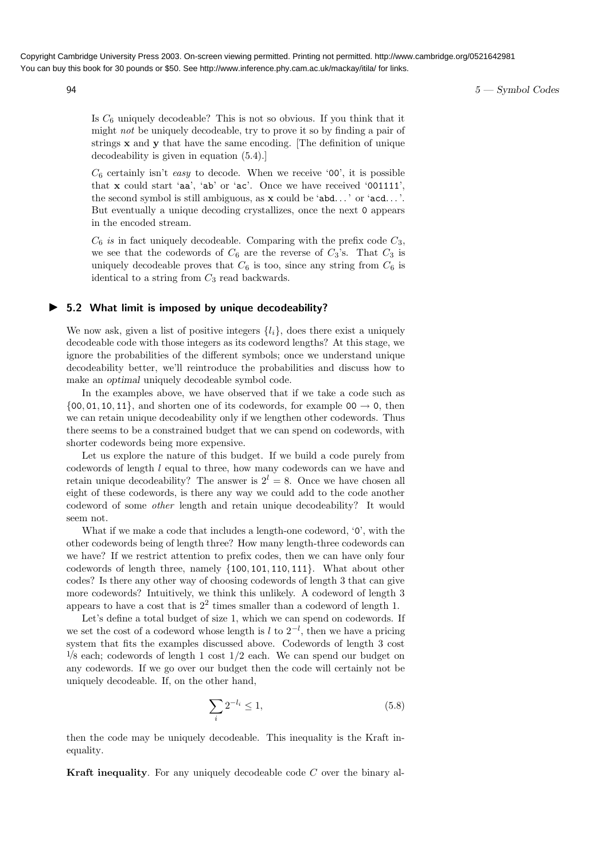$5 - \text{Symbol Codes}$ 

Is  $C_6$  uniquely decodeable? This is not so obvious. If you think that it might not be uniquely decodeable, try to prove it so by finding a pair of strings x and y that have the same encoding. [The definition of unique decodeability is given in equation (5.4).]

 $C_6$  certainly isn't easy to decode. When we receive '00', it is possible that x could start 'aa', 'ab' or 'ac'. Once we have received '001111', the second symbol is still ambiguous, as  $x$  could be 'abd...' or 'acd...'. But eventually a unique decoding crystallizes, once the next 0 appears in the encoded stream.

 $C_6$  is in fact uniquely decodeable. Comparing with the prefix code  $C_3$ , we see that the codewords of  $C_6$  are the reverse of  $C_3$ 's. That  $C_3$  is uniquely decodeable proves that  $C_6$  is too, since any string from  $C_6$  is identical to a string from  $C_3$  read backwards.

## ▶ 5.2 What limit is imposed by unique decodeability?

We now ask, given a list of positive integers  $\{l_i\}$ , does there exist a uniquely decodeable code with those integers as its codeword lengths? At this stage, we ignore the probabilities of the different symbols; once we understand unique decodeability better, we'll reintroduce the probabilities and discuss how to make an optimal uniquely decodeable symbol code.

In the examples above, we have observed that if we take a code such as  $\{00, 01, 10, 11\}$ , and shorten one of its codewords, for example  $00 \rightarrow 0$ , then we can retain unique decodeability only if we lengthen other codewords. Thus there seems to be a constrained budget that we can spend on codewords, with shorter codewords being more expensive.

Let us explore the nature of this budget. If we build a code purely from codewords of length l equal to three, how many codewords can we have and retain unique decodeability? The answer is  $2^l = 8$ . Once we have chosen all eight of these codewords, is there any way we could add to the code another codeword of some other length and retain unique decodeability? It would seem not.

What if we make a code that includes a length-one codeword, '0', with the other codewords being of length three? How many length-three codewords can we have? If we restrict attention to prefix codes, then we can have only four codewords of length three, namely {100, 101, 110, 111}. What about other codes? Is there any other way of choosing codewords of length 3 that can give more codewords? Intuitively, we think this unlikely. A codeword of length 3 appears to have a cost that is  $2^2$  times smaller than a codeword of length 1.

Let's define a total budget of size 1, which we can spend on codewords. If we set the cost of a codeword whose length is l to  $2^{-l}$ , then we have a pricing system that fits the examples discussed above. Codewords of length 3 cost  $\frac{1}{8}$  each; codewords of length 1 cost  $\frac{1}{2}$  each. We can spend our budget on any codewords. If we go over our budget then the code will certainly not be uniquely decodeable. If, on the other hand,

$$
\sum_{i} 2^{-l_i} \le 1,\tag{5.8}
$$

then the code may be uniquely decodeable. This inequality is the Kraft inequality.

**Kraft inequality**. For any uniquely decodeable code  $C$  over the binary al-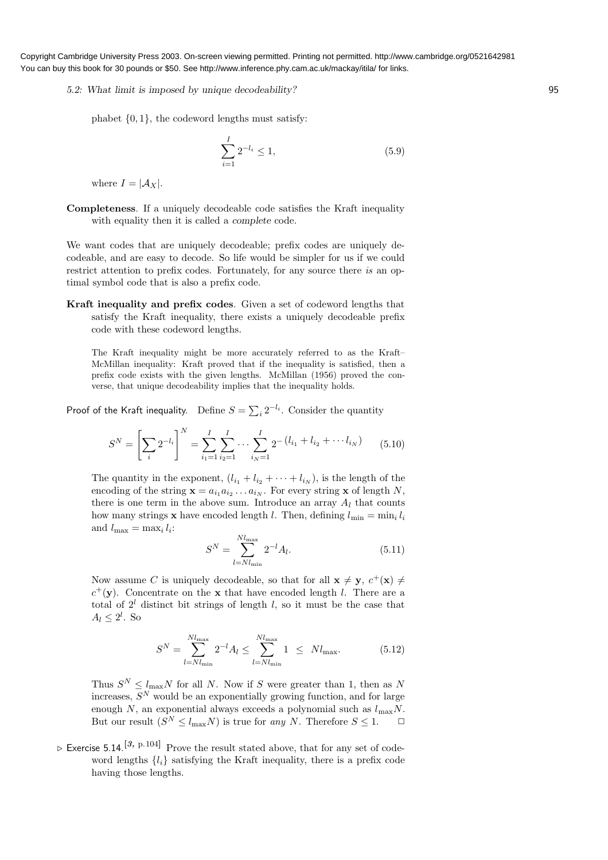5.2: What limit is imposed by unique decodeability? 95

phabet  $\{0, 1\}$ , the codeword lengths must satisfy:

$$
\sum_{i=1}^{I} 2^{-l_i} \le 1,\tag{5.9}
$$

where  $I = |\mathcal{A}_X|$ .

Completeness. If a uniquely decodeable code satisfies the Kraft inequality with equality then it is called a *complete* code.

We want codes that are uniquely decodeable; prefix codes are uniquely decodeable, and are easy to decode. So life would be simpler for us if we could restrict attention to prefix codes. Fortunately, for any source there is an optimal symbol code that is also a prefix code.

Kraft inequality and prefix codes. Given a set of codeword lengths that satisfy the Kraft inequality, there exists a uniquely decodeable prefix code with these codeword lengths.

The Kraft inequality might be more accurately referred to as the Kraft– McMillan inequality: Kraft proved that if the inequality is satisfied, then a prefix code exists with the given lengths. McMillan (1956) proved the converse, that unique decodeability implies that the inequality holds.

Proof of the Kraft inequality. Define  $S = \sum_i 2^{-l_i}$ . Consider the quantity

$$
S^{N} = \left[\sum_{i} 2^{-l_{i}}\right]^{N} = \sum_{i_{1}=1}^{I} \sum_{i_{2}=1}^{I} \cdots \sum_{i_{N}=1}^{I} 2^{-\left(l_{i_{1}} + l_{i_{2}} + \cdots + l_{i_{N}}\right)} \qquad (5.10)
$$

The quantity in the exponent,  $(l_{i_1} + l_{i_2} + \cdots + l_{i_N})$ , is the length of the encoding of the string  $\mathbf{x} = a_{i_1} a_{i_2} \dots a_{i_N}$ . For every string  $\mathbf{x}$  of length N, there is one term in the above sum. Introduce an array  $A_l$  that counts how many strings **x** have encoded length *l*. Then, defining  $l_{\min} = \min_i l_i$ and  $l_{\max} = \max_i l_i$ :

$$
S^{N} = \sum_{l=Nl_{\min}}^{Nl_{\max}} 2^{-l} A_{l}.
$$
 (5.11)

Now assume C is uniquely decodeable, so that for all  $\mathbf{x} \neq \mathbf{y}$ ,  $c^{+}(\mathbf{x}) \neq 0$  $c^{+}(\mathbf{y})$ . Concentrate on the **x** that have encoded length *l*. There are a total of  $2^l$  distinct bit strings of length l, so it must be the case that  $A_l \leq 2^l$ . So

$$
S^{N} = \sum_{l=Nl_{\min}}^{Nl_{\max}} 2^{-l} A_l \le \sum_{l=Nl_{\min}}^{Nl_{\max}} 1 \le Nl_{\max}.
$$
 (5.12)

Thus  $S^N \leq l_{\text{max}}N$  for all N. Now if S were greater than 1, then as N increases,  $S<sup>N</sup>$  would be an exponentially growing function, and for large enough N, an exponential always exceeds a polynomial such as  $l_{\max}N$ . But our result  $(S^N \leq l_{\text{max}}N)$  is true for any N. Therefore  $S \leq 1$ .  $\Box$ 

 $\triangleright$  Exercise 5.14.<sup>[3, p.104]</sup> Prove the result stated above, that for any set of codeword lengths  ${l_i}$  satisfying the Kraft inequality, there is a prefix code having those lengths.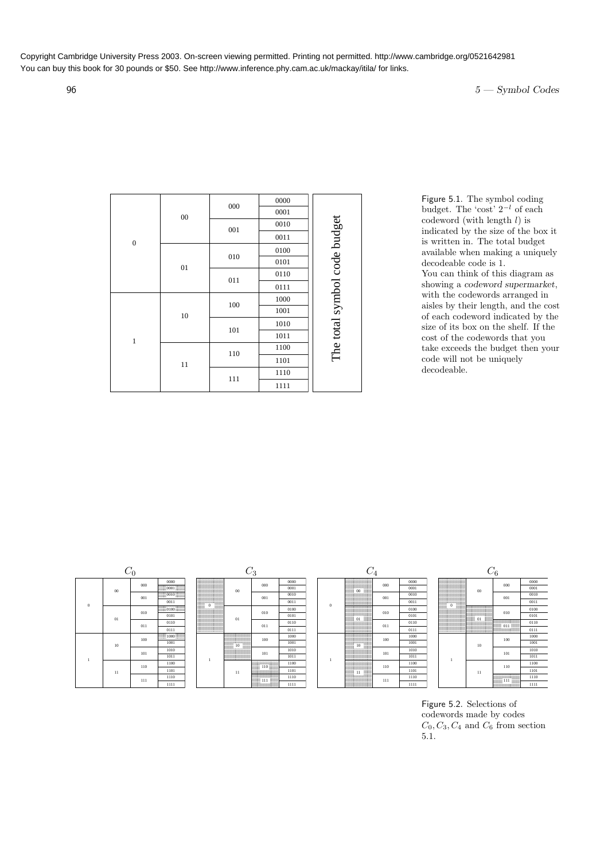## $5 - \text{Symbol Codes}$

|                  |        |     | 0000 |                              |
|------------------|--------|-----|------|------------------------------|
|                  | $00\,$ | 000 | 0001 |                              |
|                  |        | 001 | 0010 |                              |
| $\boldsymbol{0}$ |        |     | 0011 |                              |
|                  |        |     | 0100 | The total symbol code budget |
|                  | 01     | 010 | 0101 |                              |
|                  |        | 011 | 0110 |                              |
|                  |        |     | 0111 |                              |
|                  | 10     | 100 | 1000 |                              |
|                  |        |     | 1001 |                              |
|                  |        | 101 | 1010 |                              |
| $\mathbf{1}$     |        |     | 1011 |                              |
|                  |        | 110 | 1100 |                              |
|                  | 11     |     | 1101 |                              |
|                  |        | 111 | 1110 |                              |
|                  |        |     | 1111 |                              |

Figure 5.1. The symbol coding budget. The 'cost'  $2^{-l}$  of each codeword (with length  $l$ ) is indicated by the size of the box it is written in. The total budget available when making a uniquely decodeable code is 1. You can think of this diagram as showing a codeword supermarket, with the codewords arranged in aisles by their length, and the cost of each codeword indicated by the size of its box on the shelf. If the cost of the codewords that you take exceeds the budget then your code will not be uniquely decodeable.



| $\bf{0}$ |    |     | 0011 | <b>CONTRACTOR</b><br>$\Omega$ |
|----------|----|-----|------|-------------------------------|
|          |    | 010 |      |                               |
|          | 01 |     | 0101 |                               |
|          |    | 011 | 0110 |                               |
|          |    |     | 0111 |                               |
|          |    | 100 |      |                               |
|          | 10 |     | 1001 |                               |
|          |    | 101 | 1010 |                               |
| ī        |    |     | 1011 |                               |
|          |    | 110 | 1100 |                               |
|          | 11 |     | 1101 |                               |
|          |    | 111 | 1110 |                               |
|          |    |     | 1111 |                               |

|                                                    |  |                                      |                    | $\cdot$                                                    |                              |      |          |                                          | I                             |     |
|----------------------------------------------------|--|--------------------------------------|--------------------|------------------------------------------------------------|------------------------------|------|----------|------------------------------------------|-------------------------------|-----|
| 0000                                               |  | 0000000000000000000                  |                    |                                                            | 0000                         |      |          | 0000000000000000000                      |                               |     |
|                                                    |  |                                      | 00                 | 000                                                        | 0001                         |      |          |                                          | 000                           |     |
| $\frac{20000}{20000}$ $0010$ $\frac{20000}{20000}$ |  |                                      |                    | 001                                                        | 0010                         |      |          |                                          | 001                           |     |
| 0011                                               |  | With succession of<br>10850<br>80000 |                    |                                                            | 0011                         |      | $\bf{0}$ |                                          |                               |     |
|                                                    |  | armmoll888                           |                    |                                                            | 0100                         |      |          | ananan ananananan an                     |                               |     |
| 0101                                               |  |                                      | 01                 | 010                                                        | 0101                         |      |          | $\frac{208888}{208888}$<br>$_{01}$<br>mm | 010                           |     |
| 0110                                               |  |                                      |                    | 011                                                        | 0110                         |      |          |                                          | 011                           |     |
| 0111                                               |  | 50000550000000555                    |                    |                                                            | 0111                         |      |          | mmmee                                    |                               |     |
| <b><i>SOUN 1000 SUNS</i></b>                       |  |                                      | 000000000000000000 |                                                            | 1000                         |      |          |                                          |                               |     |
| 1001                                               |  |                                      | ,,,,,,,,,,,        |                                                            | 100                          | 1001 |          |                                          | <u>ummooniliisuu</u><br>50000 | 100 |
| 1010                                               |  |                                      |                    |                                                            | 1010                         |      |          | $\frac{10}{10000}$                       |                               |     |
| 1011                                               |  | ľ                                    | mmms <i>smmm</i>   | 101                                                        | 1011                         |      |          |                                          | 101                           |     |
| 1100                                               |  |                                      |                    | annono commono<br>unimoranimos.<br><b>SSSSS</b> 110 SSSSSS | 1100                         |      |          |                                          | 110                           |     |
| 1101                                               |  |                                      | 11                 | anno<br>mmmmmm                                             | 1101                         |      |          | 8888<br>50000<br>11<br>mm                |                               |     |
| 1110                                               |  |                                      |                    |                                                            | ,,,,,,,,,,,,,,,,,,,<br>nesse | 1110 |          |                                          | 9898                          | 111 |
| 1111                                               |  |                                      |                    | <b>SUMmondRIVES</b><br>0000000000000000000                 | 1111                         |      |          | copper connections on                    |                               |     |

| $C_0$ |     |                                               |         |     |      |          |     |      |  |    | $\mathcal{C}_6$ |
|-------|-----|-----------------------------------------------|---------|-----|------|----------|-----|------|--|----|-----------------|
|       | 000 | 0000                                          |         | 000 | 0000 |          | 000 | 0000 |  |    |                 |
|       |     |                                               | $_{00}$ |     | 0001 |          |     | 0001 |  |    |                 |
|       | 001 | $\frac{53333}{53333}0010 \frac{33333}{53333}$ |         | 001 | 0010 |          | 001 | 0010 |  |    |                 |
|       |     | 0011                                          |         |     | 0011 | $\Omega$ |     | 0011 |  |    |                 |
|       |     |                                               |         |     | 0100 |          |     | 0100 |  |    |                 |
|       | 010 | 0101                                          | $_{01}$ | 010 | 0101 |          | 010 | 0101 |  |    |                 |
|       | 011 | 0110                                          |         | 011 | 0110 |          | 011 | 0110 |  |    |                 |
|       |     | 0111                                          |         |     | 0111 |          |     | 0111 |  |    |                 |
|       | 100 | $\frac{55555}{55555}1000\frac{55555}{55555}$  |         | 100 | 1000 |          | 100 | 1000 |  |    |                 |
|       |     | 1001                                          |         |     | 1001 |          |     | 1001 |  | 10 |                 |
|       | 101 | 1010                                          |         | 101 | 1010 |          | 101 | 1010 |  |    |                 |
|       |     | 1011                                          |         |     | 1011 |          |     | 1011 |  |    |                 |
|       | 110 | 1100                                          |         |     | 1100 |          | 110 | 1100 |  |    |                 |
|       |     | 1101                                          | 11      |     | 1101 |          |     | 1101 |  | 11 |                 |
|       | 111 | 1110                                          |         |     | 1110 |          | 111 | 1110 |  |    | 22222           |
|       |     | 1111                                          |         |     | 1111 |          |     | 1111 |  |    |                 |

|   |                    | $C_{\mathbf{6}}$  |      |
|---|--------------------|-------------------|------|
|   |                    |                   | 0000 |
|   | 00                 | 000               | 0001 |
|   |                    | 001               | 0010 |
|   |                    |                   | 0011 |
| 0 | anananana anananan |                   | 0100 |
|   | 01                 | 010               | 0101 |
|   |                    | annos commonos co | 0110 |
|   | 88                 | <b>CONNE</b>      | 0111 |
|   | 10                 | 100               | 1000 |
|   |                    |                   | 1001 |
|   |                    |                   | 1010 |
| ī |                    | 101               | 1011 |
|   |                    | 110               | 1100 |
|   | 11                 |                   | 1101 |
|   |                    | mon               | 1110 |
|   |                    |                   | 1111 |

Figure 5.2. Selections of codewords made by codes  $C_0, C_3, C_4$  and  $C_6$  from section 5.1.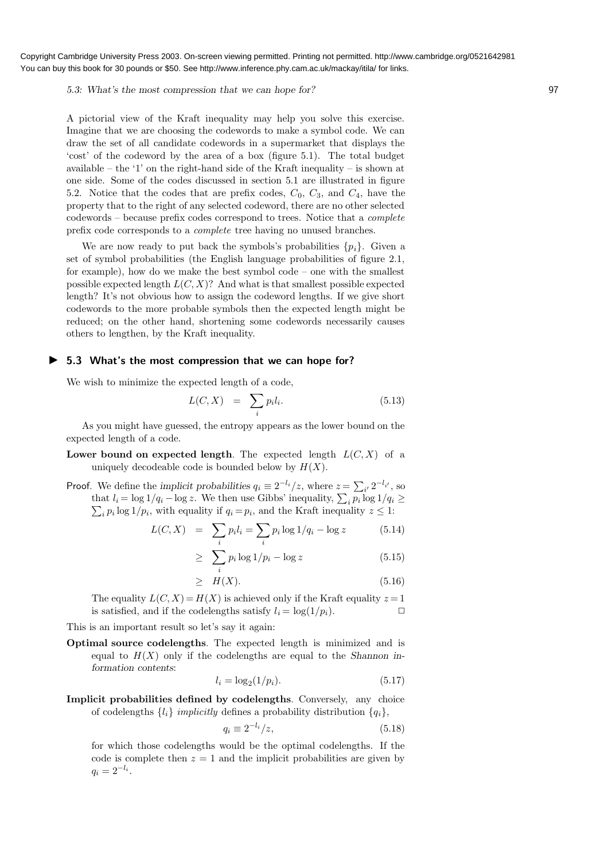5.3: What's the most compression that we can hope for? 97

A pictorial view of the Kraft inequality may help you solve this exercise. Imagine that we are choosing the codewords to make a symbol code. We can draw the set of all candidate codewords in a supermarket that displays the 'cost' of the codeword by the area of a box (figure 5.1). The total budget available – the '1' on the right-hand side of the Kraft inequality – is shown at one side. Some of the codes discussed in section 5.1 are illustrated in figure 5.2. Notice that the codes that are prefix codes,  $C_0$ ,  $C_3$ , and  $C_4$ , have the property that to the right of any selected codeword, there are no other selected codewords – because prefix codes correspond to trees. Notice that a complete prefix code corresponds to a complete tree having no unused branches.

We are now ready to put back the symbols's probabilities  $\{p_i\}$ . Given a set of symbol probabilities (the English language probabilities of figure 2.1, for example), how do we make the best symbol code – one with the smallest possible expected length  $L(C, X)$ ? And what is that smallest possible expected length? It's not obvious how to assign the codeword lengths. If we give short codewords to the more probable symbols then the expected length might be reduced; on the other hand, shortening some codewords necessarily causes others to lengthen, by the Kraft inequality.

## ▶ 5.3 What's the most compression that we can hope for?

We wish to minimize the expected length of a code,

$$
L(C, X) = \sum_{i} p_i l_i. \tag{5.13}
$$

As you might have guessed, the entropy appears as the lower bound on the expected length of a code.

Lower bound on expected length. The expected length  $L(C, X)$  of a uniquely decodeable code is bounded below by  $H(X)$ .

**Proof.** We define the implicit probabilities  $q_i \equiv 2^{-l_i}/z$ , where  $z = \sum_{i'} 2^{-l_{i'}}$ , so that  $l_i = \log 1/q_i - \log z$ . We then use Gibbs' inequality,  $\sum_i p_i \log 1/q_i \ge$  $\sum_i p_i \log 1/p_i$ , with equality if  $q_i = p_i$ , and the Kraft inequality  $z \leq 1$ :

$$
L(C, X) = \sum_{i} p_i l_i = \sum_{i} p_i \log 1/q_i - \log z \tag{5.14}
$$

$$
\geq \sum_{i} p_i \log 1/p_i - \log z \tag{5.15}
$$

$$
\geq H(X). \tag{5.16}
$$

The equality  $L(C, X) = H(X)$  is achieved only if the Kraft equality  $z = 1$ is satisfied, and if the codelengths satisfy  $l_i = \log(1/p_i)$ .

This is an important result so let's say it again:

Optimal source codelengths. The expected length is minimized and is equal to  $H(X)$  only if the codelengths are equal to the Shannon information contents:

$$
l_i = \log_2(1/p_i). \tag{5.17}
$$

Implicit probabilities defined by codelengths. Conversely, any choice of codelengths  $\{l_i\}$  implicitly defines a probability distribution  $\{q_i\}$ ,

$$
q_i \equiv 2^{-l_i}/z,\tag{5.18}
$$

for which those codelengths would be the optimal codelengths. If the code is complete then  $z = 1$  and the implicit probabilities are given by  $q_i = 2^{-l_i}.$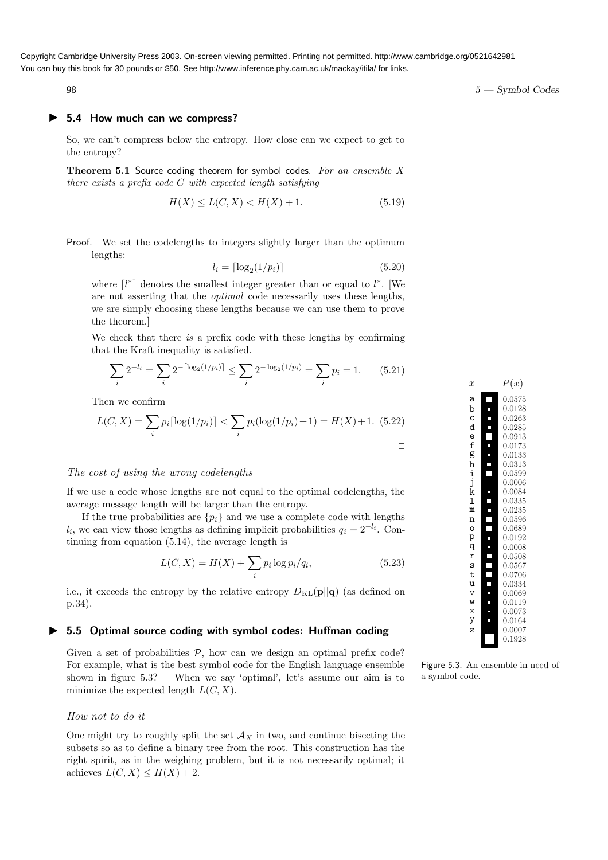## ▶ 5.4 How much can we compress?

So, we can't compress below the entropy. How close can we expect to get to the entropy?

**Theorem 5.1** Source coding theorem for symbol codes. For an ensemble  $X$ there exists a prefix code C with expected length satisfying

$$
H(X) \le L(C, X) < H(X) + 1. \tag{5.19}
$$

Proof. We set the codelengths to integers slightly larger than the optimum lengths:

$$
l_i = \lceil \log_2(1/p_i) \rceil \tag{5.20}
$$

where  $\lceil l^* \rceil$  denotes the smallest integer greater than or equal to  $l^*$ . [We are not asserting that the optimal code necessarily uses these lengths, we are simply choosing these lengths because we can use them to prove the theorem.]

We check that there is a prefix code with these lengths by confirming that the Kraft inequality is satisfied.

$$
\sum_{i} 2^{-l_i} = \sum_{i} 2^{-\lceil \log_2(1/p_i) \rceil} \le \sum_{i} 2^{-\log_2(1/p_i)} = \sum_{i} p_i = 1. \tag{5.21}
$$

Then we confirm

$$
L(C, X) = \sum_{i} p_i \lceil \log(1/p_i) \rceil < \sum_{i} p_i (\log(1/p_i) + 1) = H(X) + 1. \tag{5.22}
$$

## The cost of using the wrong codelengths

If we use a code whose lengths are not equal to the optimal codelengths, the average message length will be larger than the entropy.

If the true probabilities are  $\{p_i\}$  and we use a complete code with lengths  $l_i$ , we can view those lengths as defining implicit probabilities  $q_i = 2^{-l_i}$ . Continuing from equation (5.14), the average length is

$$
L(C, X) = H(X) + \sum_{i} p_i \log p_i / q_i,
$$
\n(5.23)

i.e., it exceeds the entropy by the relative entropy  $D_{\text{KL}}(\mathbf{p}||\mathbf{q})$  (as defined on p.34).

## ▶ 5.5 Optimal source coding with symbol codes: Huffman coding

Given a set of probabilities  $P$ , how can we design an optimal prefix code? For example, what is the best symbol code for the English language ensemble shown in figure 5.3? When we say 'optimal', let's assume our aim is to minimize the expected length  $L(C, X)$ .

#### How not to do it

One might try to roughly split the set  $\mathcal{A}_X$  in two, and continue bisecting the subsets so as to define a binary tree from the root. This construction has the right spirit, as in the weighing problem, but it is not necessarily optimal; it achieves  $L(C, X) \leq H(X) + 2$ .



Figure 5.3. An ensemble in need of a symbol code.

98  $5 -$  Symbol Codes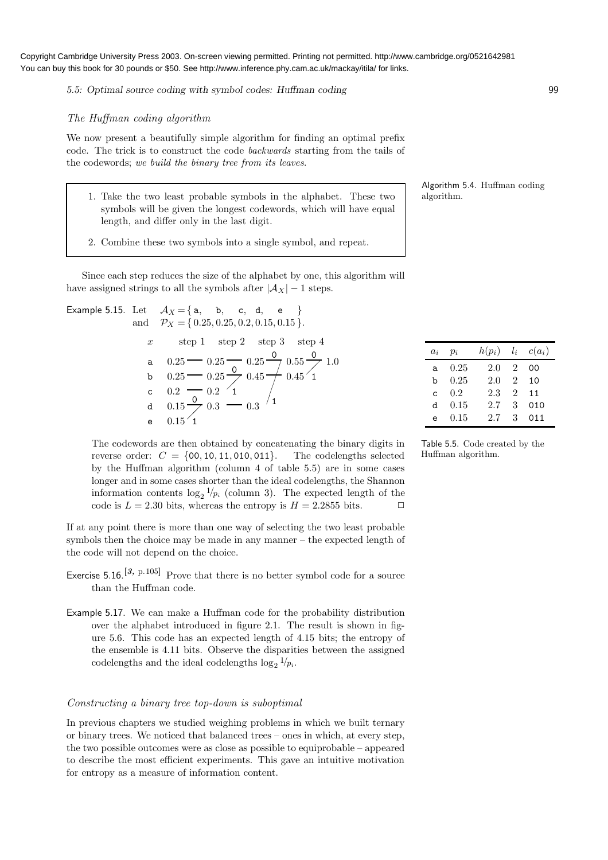5.5: Optimal source coding with symbol codes: Huffman coding 99

## The Huffman coding algorithm

We now present a beautifully simple algorithm for finding an optimal prefix code. The trick is to construct the code backwards starting from the tails of the codewords; we build the binary tree from its leaves.

- 1. Take the two least probable symbols in the alphabet. These two  $\parallel$  algorithm. symbols will be given the longest codewords, which will have equal length, and differ only in the last digit.
- 2. Combine these two symbols into a single symbol, and repeat.

Since each step reduces the size of the alphabet by one, this algorithm will have assigned strings to all the symbols after  $|\mathcal{A}_X| - 1$  steps.

- Example 5.15. Let  $\mathcal{A}_X \!=\! \{ \, \mathsf{a}, \quad \mathsf{b}, \quad \mathsf{c}, \ \ \mathsf{d}, \quad \mathsf{e} \quad \, \}$ and  $\mathcal{P}_X = \{0.25, 0.25, 0.2, 0.15, 0.15\}.$ 0 0 x step 1 step 2 step 3 step 4
	- 0.25 0.25 0.2 0.15 0.15 0.25 0.25 0.2 0.3 0.25 0.45 0.3 0.55 0.45 a  $0.25 - 0.25 - 0.25 - 0.55 - 1.0$ b c d e 0 1  $\overline{0}$ 1 1 1  $\bigg)$  $\bigg)$ ✂ ✂ /  $\sqrt{ }$  $\bigg)$

The codewords are then obtained by concatenating the binary digits in reverse order:  $C = \{00, 10, 11, 010, 011\}$ . The codelengths selected by the Huffman algorithm (column 4 of table 5.5) are in some cases longer and in some cases shorter than the ideal codelengths, the Shannon information contents  $\log_2 1/p_i$  (column 3). The expected length of the code is  $L = 2.30$  bits, whereas the entropy is  $H = 2.2855$  bits.  $\Box$ 

If at any point there is more than one way of selecting the two least probable symbols then the choice may be made in any manner – the expected length of the code will not depend on the choice.

- Exercise 5.16.<sup>[3, p.105]</sup> Prove that there is no better symbol code for a source than the Huffman code.
- Example 5.17. We can make a Huffman code for the probability distribution over the alphabet introduced in figure 2.1. The result is shown in figure 5.6. This code has an expected length of 4.15 bits; the entropy of the ensemble is 4.11 bits. Observe the disparities between the assigned codelengths and the ideal codelengths  $\log_2 1/p_i$ .

#### Constructing a binary tree top-down is suboptimal

In previous chapters we studied weighing problems in which we built ternary or binary trees. We noticed that balanced trees – ones in which, at every step, the two possible outcomes were as close as possible to equiprobable – appeared to describe the most efficient experiments. This gave an intuitive motivation for entropy as a measure of information content.

Algorithm 5.4. Huffman coding

| $a_i$ | $p_i$ | $h(p_i)$ | $l_i$                       | $c(a_i)$ |
|-------|-------|----------|-----------------------------|----------|
| a     | 0.25  | 2.0      | 2                           | იი       |
| b     | 0.25  | 2.0      | $\overline{2}$              | 10       |
| C.    | 0.2   | 2.3      | $\mathcal{D}_{\mathcal{L}}$ | 11       |
| d.    | 0.15  | 2.7      | 3                           | 010      |
| e     | 0.15  | 2.7      | 3                           | 011      |

Table 5.5. Code created by the Huffman algorithm.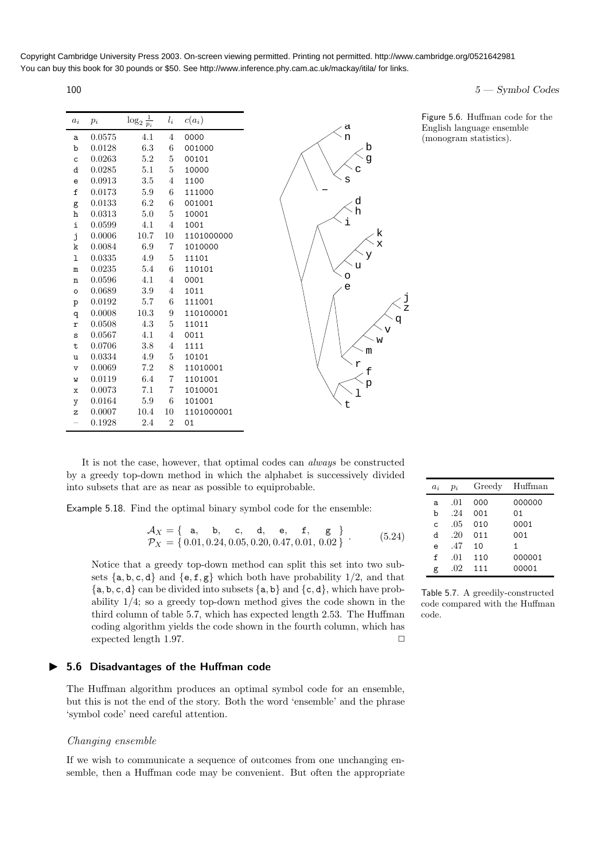| $a_i$        | $p_i$  | $\log_2 \frac{1}{p_i}$ | $l_i$          | $c(a_i)$   |
|--------------|--------|------------------------|----------------|------------|
| a            | 0.0575 | 4.1                    | $\overline{4}$ | 0000       |
| b            | 0.0128 | 6.3                    | 6              | 001000     |
| $\mathsf{C}$ | 0.0263 | 5.2                    | 5              | 00101      |
| d            | 0.0285 | 5.1                    | $\overline{5}$ | 10000      |
| e            | 0.0913 | 3.5                    | $\overline{4}$ | 1100       |
| f            | 0.0173 | 5.9                    | 6              | 111000     |
| g            | 0.0133 | 6.2                    | 6              | 001001     |
| h            | 0.0313 | 5.0                    | $\overline{5}$ | 10001      |
| i            | 0.0599 | 4.1                    | $\overline{4}$ | 1001       |
| j            | 0.0006 | 10.7                   | 10             | 1101000000 |
| k            | 0.0084 | 6.9                    | 7              | 1010000    |
| ı            | 0.0335 | 4.9                    | 5              | 11101      |
| $\mathbf m$  | 0.0235 | 5.4                    | 6              | 110101     |
| $\mathbf n$  | 0.0596 | 4.1                    | $\overline{4}$ | 0001       |
| $\circ$      | 0.0689 | 3.9                    | $\overline{4}$ | 1011       |
| p            | 0.0192 | 5.7                    | 6              | 111001     |
| q            | 0.0008 | 10.3                   | 9              | 110100001  |
| r            | 0.0508 | 4.3                    | 5              | 11011      |
| S            | 0.0567 | 4.1                    | $\overline{4}$ | 0011       |
| t            | 0.0706 | 3.8                    | $\overline{4}$ | 1111       |
| u            | 0.0334 | 4.9                    | $\overline{5}$ | 10101      |
| $\mathtt{V}$ | 0.0069 | 7.2                    | 8              | 11010001   |
| W            | 0.0119 | 6.4                    | 7              | 1101001    |
| $\mathbf x$  | 0.0073 | 7.1                    | $\overline{7}$ | 1010001    |
| y            | 0.0164 | 5.9                    | 6              | 101001     |
| z            | 0.0007 | 10.4                   | 10             | 1101000001 |
|              | 0.1928 | 2.4                    | $\overline{2}$ | 01         |

 $100$   $5 - \text{Symbol Codes}$ 

It is not the case, however, that optimal codes can always be constructed by a greedy top-down method in which the alphabet is successively divided into subsets that are as near as possible to equiprobable.

Example 5.18. Find the optimal binary symbol code for the ensemble:

$$
\begin{aligned}\n\mathcal{A}_X &= \{ \text{ a, b, c, d, e, f, g} \} \\
\mathcal{P}_X &= \{ 0.01, 0.24, 0.05, 0.20, 0.47, 0.01, 0.02 \} \end{aligned} \tag{5.24}
$$

p f

m

w v q j z

k x

r

l

t

i

s

c

g b

d h

a n

−

o e u y

Notice that a greedy top-down method can split this set into two subsets  $\{a, b, c, d\}$  and  $\{e, f, g\}$  which both have probability 1/2, and that  ${a, b, c, d}$  can be divided into subsets  ${a, b}$  and  ${c, d}$ , which have probability 1/4; so a greedy top-down method gives the code shown in the third column of table 5.7, which has expected length 2.53. The Huffman coding algorithm yields the code shown in the fourth column, which has expected length 1.97.  $\Box$ 

## ▶ 5.6 Disadvantages of the Huffman code

The Huffman algorithm produces an optimal symbol code for an ensemble, but this is not the end of the story. Both the word 'ensemble' and the phrase 'symbol code' need careful attention.

#### Changing ensemble

If we wish to communicate a sequence of outcomes from one unchanging ensemble, then a Huffman code may be convenient. But often the appropriate

| $a_i$        | $p_i$ | Greedy | Huffman |
|--------------|-------|--------|---------|
| a            | .01   | 000    | 000000  |
| b            | .24   | 001    | 01      |
| $\mathsf{C}$ | .05   | 010    | 0001    |
| d            | .20   | 011    | 001     |
| e            | .47   | 10     | 1       |
| f            | .01   | 110    | 000001  |
| g            | .02   | 111    | 00001   |

Table 5.7. A greedily-constructed code compared with the Huffman code.

Figure 5.6. Huffman code for the English language ensemble (monogram statistics).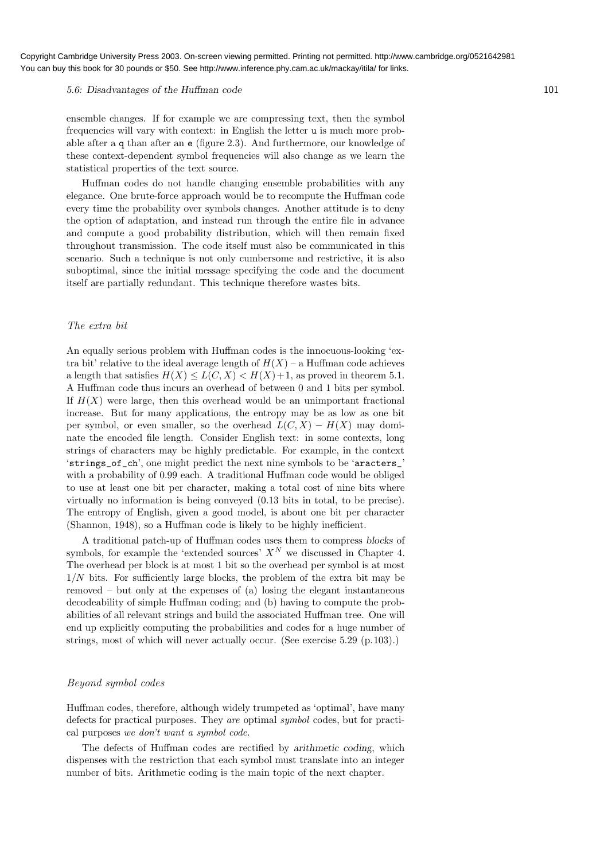#### 5.6: Disadvantages of the Huffman code 101

ensemble changes. If for example we are compressing text, then the symbol frequencies will vary with context: in English the letter u is much more probable after a q than after an e (figure 2.3). And furthermore, our knowledge of these context-dependent symbol frequencies will also change as we learn the statistical properties of the text source.

Huffman codes do not handle changing ensemble probabilities with any elegance. One brute-force approach would be to recompute the Huffman code every time the probability over symbols changes. Another attitude is to deny the option of adaptation, and instead run through the entire file in advance and compute a good probability distribution, which will then remain fixed throughout transmission. The code itself must also be communicated in this scenario. Such a technique is not only cumbersome and restrictive, it is also suboptimal, since the initial message specifying the code and the document itself are partially redundant. This technique therefore wastes bits.

#### The extra bit

An equally serious problem with Huffman codes is the innocuous-looking 'extra bit' relative to the ideal average length of  $H(X)$  – a Huffman code achieves a length that satisfies  $H(X) \leq L(C, X) \leq H(X) + 1$ , as proved in theorem 5.1. A Huffman code thus incurs an overhead of between 0 and 1 bits per symbol. If  $H(X)$  were large, then this overhead would be an unimportant fractional increase. But for many applications, the entropy may be as low as one bit per symbol, or even smaller, so the overhead  $L(C, X) - H(X)$  may dominate the encoded file length. Consider English text: in some contexts, long strings of characters may be highly predictable. For example, in the context 'strings\_of\_ch', one might predict the next nine symbols to be 'aracters\_' with a probability of 0.99 each. A traditional Huffman code would be obliged to use at least one bit per character, making a total cost of nine bits where virtually no information is being conveyed (0.13 bits in total, to be precise). The entropy of English, given a good model, is about one bit per character (Shannon, 1948), so a Huffman code is likely to be highly inefficient.

A traditional patch-up of Huffman codes uses them to compress blocks of symbols, for example the 'extended sources'  $X^N$  we discussed in Chapter 4. The overhead per block is at most 1 bit so the overhead per symbol is at most  $1/N$  bits. For sufficiently large blocks, the problem of the extra bit may be removed – but only at the expenses of (a) losing the elegant instantaneous decodeability of simple Huffman coding; and (b) having to compute the probabilities of all relevant strings and build the associated Huffman tree. One will end up explicitly computing the probabilities and codes for a huge number of strings, most of which will never actually occur. (See exercise 5.29 (p.103).)

#### Beyond symbol codes

Huffman codes, therefore, although widely trumpeted as 'optimal', have many defects for practical purposes. They are optimal symbol codes, but for practical purposes we don't want a symbol code.

The defects of Huffman codes are rectified by arithmetic coding, which dispenses with the restriction that each symbol must translate into an integer number of bits. Arithmetic coding is the main topic of the next chapter.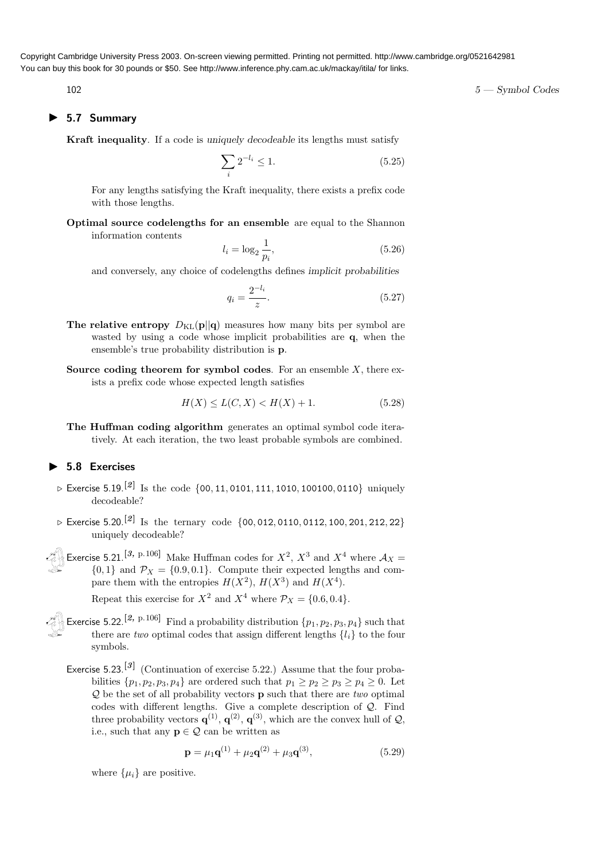## ▶ 5.7 Summary

Kraft inequality. If a code is uniquely decodeable its lengths must satisfy

$$
\sum_{i} 2^{-l_i} \le 1. \tag{5.25}
$$

For any lengths satisfying the Kraft inequality, there exists a prefix code with those lengths.

Optimal source codelengths for an ensemble are equal to the Shannon information contents

$$
l_i = \log_2 \frac{1}{p_i},\tag{5.26}
$$

and conversely, any choice of codelengths defines implicit probabilities

$$
q_i = \frac{2^{-l_i}}{z}.\tag{5.27}
$$

- The relative entropy  $D_{\text{KL}}(\mathbf{p}||\mathbf{q})$  measures how many bits per symbol are wasted by using a code whose implicit probabilities are  $q$ , when the ensemble's true probability distribution is p.
- Source coding theorem for symbol codes. For an ensemble  $X$ , there exists a prefix code whose expected length satisfies

$$
H(X) \le L(C, X) < H(X) + 1. \tag{5.28}
$$

The Huffman coding algorithm generates an optimal symbol code iteratively. At each iteration, the two least probable symbols are combined.

## ▶ 5.8 Exercises

- $\triangleright$  Exercise 5.19.<sup>[2]</sup> Is the code {00, 11, 0101, 111, 1010, 100100, 0110} uniquely decodeable?
- $\triangleright$  Exercise 5.20. $^{[2]}$  Is the ternary code  $\{00,012,0110,0112,100,201,212,22\}$ uniquely decodeable?
- Exercise 5.21.<sup>[3, p.106]</sup> Make Huffman codes for  $X^2$ ,  $X^3$  and  $X^4$  where  $\mathcal{A}_X$  =  ${0,1}$  and  $P_X = {0.9, 0.1}$ . Compute their expected lengths and compare them with the entropies  $H(X^2)$ ,  $H(X^3)$  and  $H(X^4)$ .

Repeat this exercise for  $X^2$  and  $X^4$  where  $\mathcal{P}_X = \{0.6, 0.4\}.$ 

- Exercise 5.22.<sup>[2, p.106]</sup> Find a probability distribution  $\{p_1, p_2, p_3, p_4\}$  such that there are two optimal codes that assign different lengths  $\{l_i\}$  to the four symbols.
	- Exercise 5.23.<sup>[3]</sup> (Continuation of exercise 5.22.) Assume that the four probabilities  $\{p_1, p_2, p_3, p_4\}$  are ordered such that  $p_1 \geq p_2 \geq p_3 \geq p_4 \geq 0$ . Let  $Q$  be the set of all probability vectors **p** such that there are two optimal codes with different lengths. Give a complete description of Q. Find three probability vectors  $\mathbf{q}^{(1)}$ ,  $\mathbf{q}^{(2)}$ ,  $\mathbf{q}^{(3)}$ , which are the convex hull of  $\mathcal{Q}$ , i.e., such that any  $p \in \mathcal{Q}$  can be written as

$$
\mathbf{p} = \mu_1 \mathbf{q}^{(1)} + \mu_2 \mathbf{q}^{(2)} + \mu_3 \mathbf{q}^{(3)},
$$
(5.29)

where  $\{\mu_i\}$  are positive.

 $102$   $5 - \text{Symbol Codes}$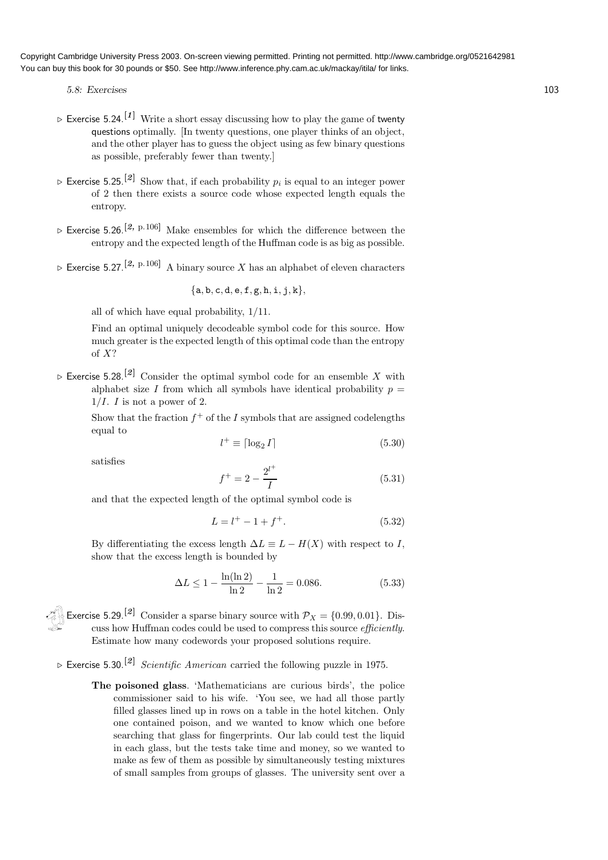- 5.8: Exercises 103
- $\triangleright$  Exercise 5.24.<sup>[1]</sup> Write a short essay discussing how to play the game of twenty questions optimally. [In twenty questions, one player thinks of an object, and the other player has to guess the object using as few binary questions as possible, preferably fewer than twenty.]
- $\triangleright$  Exercise 5.25.<sup>[2]</sup> Show that, if each probability  $p_i$  is equal to an integer power of 2 then there exists a source code whose expected length equals the entropy.
- $\triangleright$  Exercise 5.26.<sup>[2, p.106]</sup> Make ensembles for which the difference between the entropy and the expected length of the Huffman code is as big as possible.
- $\triangleright$  Exercise 5.27.<sup>[2, p.106]</sup> A binary source X has an alphabet of eleven characters

$$
\{a,b,c,d,e,f,g,h,i,j,k\},
$$

all of which have equal probability, 1/11.

Find an optimal uniquely decodeable symbol code for this source. How much greater is the expected length of this optimal code than the entropy of X?

 $\triangleright$  Exercise 5.28.<sup>[2]</sup> Consider the optimal symbol code for an ensemble X with alphabet size I from which all symbols have identical probability  $p =$  $1/I$ . I is not a power of 2.

Show that the fraction  $f^+$  of the I symbols that are assigned codelengths equal to

$$
l^{+} \equiv \lceil \log_2 I \rceil \tag{5.30}
$$

satisfies

$$
f^{+} = 2 - \frac{2^{l^{+}}}{I} \tag{5.31}
$$

and that the expected length of the optimal symbol code is

$$
L = l^{+} - 1 + f^{+}.
$$
 (5.32)

By differentiating the excess length  $\Delta L \equiv L - H(X)$  with respect to I, show that the excess length is bounded by

$$
\Delta L \le 1 - \frac{\ln(\ln 2)}{\ln 2} - \frac{1}{\ln 2} = 0.086. \tag{5.33}
$$

Exercise 5.29.<sup>[2]</sup> Consider a sparse binary source with  $P_X = \{0.99, 0.01\}$ . Discuss how Huffman codes could be used to compress this source *efficiently*. Estimate how many codewords your proposed solutions require.

 $\triangleright$  Exercise 5.30.<sup>[2]</sup> Scientific American carried the following puzzle in 1975.

The poisoned glass. 'Mathematicians are curious birds', the police commissioner said to his wife. 'You see, we had all those partly filled glasses lined up in rows on a table in the hotel kitchen. Only one contained poison, and we wanted to know which one before searching that glass for fingerprints. Our lab could test the liquid in each glass, but the tests take time and money, so we wanted to make as few of them as possible by simultaneously testing mixtures of small samples from groups of glasses. The university sent over a